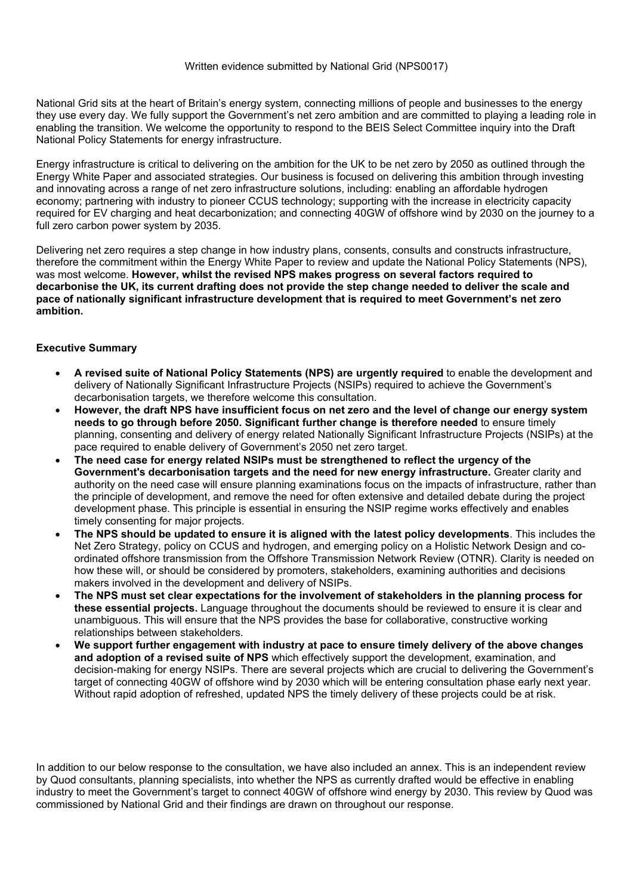National Grid sits at the heart of Britain's energy system, connecting millions of people and businesses to the energy they use every day. We fully support the Government's net zero ambition and are committed to playing a leading role in enabling the transition. We welcome the opportunity to respond to the BEIS Select Committee inquiry into the Draft National Policy Statements for energy infrastructure.

Energy infrastructure is critical to delivering on the ambition for the UK to be net zero by 2050 as outlined through the Energy White Paper and associated strategies. Our business is focused on delivering this ambition through investing and innovating across a range of net zero infrastructure solutions, including: enabling an affordable hydrogen economy; partnering with industry to pioneer CCUS technology; supporting with the increase in electricity capacity required for EV charging and heat decarbonization; and connecting 40GW of offshore wind by 2030 on the journey to a full zero carbon power system by 2035.

Delivering net zero requires a step change in how industry plans, consents, consults and constructs infrastructure, therefore the commitment within the Energy White Paper to review and update the National Policy Statements (NPS), was most welcome. **However, whilst the revised NPS makes progress on several factors required to** decarbonise the UK, its current drafting does not provide the step change needed to deliver the scale and **pace of nationally significant infrastructure development that is required to meet Government's net zero ambition.**

## **Executive Summary**

- **A revised suite of National Policy Statements (NPS) are urgently required** to enable the development and delivery of Nationally Significant Infrastructure Projects (NSIPs) required to achieve the Government's decarbonisation targets, we therefore welcome this consultation.
- However, the draft NPS have insufficient focus on net zero and the level of change our energy system **needs to go through before 2050. Significant further change is therefore needed** to ensure timely planning, consenting and delivery of energy related Nationally Significant Infrastructure Projects (NSIPs) at the pace required to enable delivery of Government's 2050 net zero target.
- **The need case for energy related NSIPs must be strengthened to reflect the urgency of the Government's decarbonisation targets and the need for new energy infrastructure.** Greater clarity and authority on the need case will ensure planning examinations focus on the impacts of infrastructure, rather than the principle of development, and remove the need for often extensive and detailed debate during the project development phase. This principle is essential in ensuring the NSIP regime works effectively and enables timely consenting for major projects.
- **The NPS should be updated to ensure it is aligned with the latest policy developments**. This includes the Net Zero Strategy, policy on CCUS and hydrogen, and emerging policy on a Holistic Network Design and coordinated offshore transmission from the Offshore Transmission Network Review (OTNR). Clarity is needed on how these will, or should be considered by promoters, stakeholders, examining authorities and decisions makers involved in the development and delivery of NSIPs.
- **The NPS must set clear expectations for the involvement of stakeholders in the planning process for these essential projects.** Language throughout the documents should be reviewed to ensure it is clear and unambiguous. This will ensure that the NPS provides the base for collaborative, constructive working relationships between stakeholders.
- **We support further engagement with industry at pace to ensure timely delivery of the above changes and adoption of a revised suite of NPS** which effectively support the development, examination, and decision-making for energy NSIPs. There are several projects which are crucial to delivering the Government's target of connecting 40GW of offshore wind by 2030 which will be entering consultation phase early next year. Without rapid adoption of refreshed, updated NPS the timely delivery of these projects could be at risk.

In addition to our below response to the consultation, we have also included an annex. This is an independent review by Quod consultants, planning specialists, into whether the NPS as currently drafted would be effective in enabling industry to meet the Government's target to connect 40GW of offshore wind energy by 2030. This review by Quod was commissioned by National Grid and their findings are drawn on throughout our response.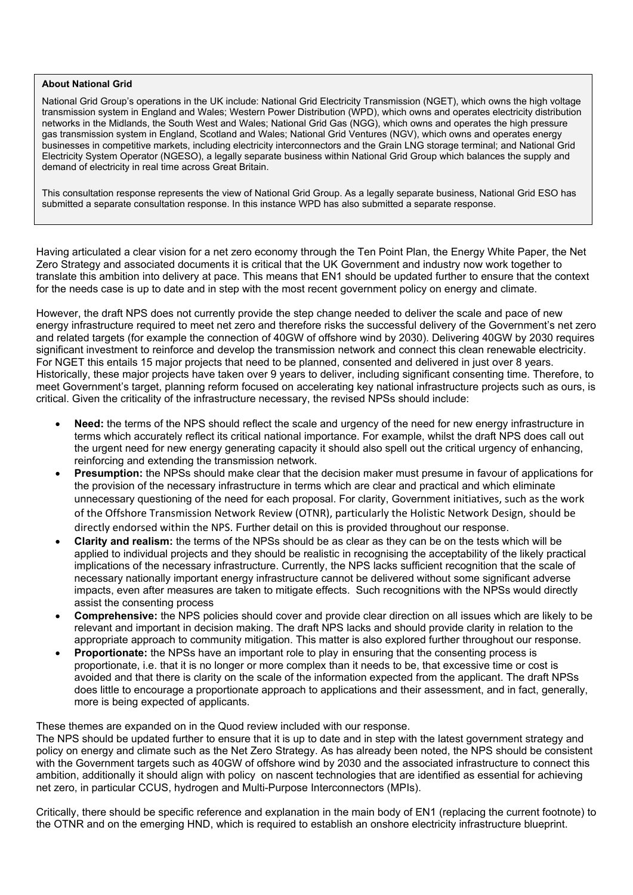## **About National Grid**

National Grid Group's operations in the UK include: National Grid Electricity Transmission (NGET), which owns the high voltage transmission system in England and Wales; Western Power Distribution (WPD), which owns and operates electricity distribution networks in the Midlands, the South West and Wales; National Grid Gas (NGG), which owns and operates the high pressure gas transmission system in England, Scotland and Wales; National Grid Ventures (NGV), which owns and operates energy businesses in competitive markets, including electricity interconnectors and the Grain LNG storage terminal; and National Grid Electricity System Operator (NGESO), a legally separate business within National Grid Group which balances the supply and demand of electricity in real time across Great Britain.

This consultation response represents the view of National Grid Group. As a legally separate business, National Grid ESO has submitted a separate consultation response. In this instance WPD has also submitted a separate response.

Having articulated a clear vision for a net zero economy through the Ten Point Plan, the Energy White Paper, the Net Zero Strategy and associated documents it is critical that the UK Government and industry now work together to translate this ambition into delivery at pace. This means that EN1 should be updated further to ensure that the context for the needs case is up to date and in step with the most recent government policy on energy and climate.

However, the draft NPS does not currently provide the step change needed to deliver the scale and pace of new energy infrastructure required to meet net zero and therefore risks the successful delivery of the Government's net zero and related targets (for example the connection of 40GW of offshore wind by 2030). Delivering 40GW by 2030 requires significant investment to reinforce and develop the transmission network and connect this clean renewable electricity. For NGET this entails 15 major projects that need to be planned, consented and delivered in just over 8 years. Historically, these major projects have taken over 9 years to deliver, including significant consenting time. Therefore, to meet Government's target, planning reform focused on accelerating key national infrastructure projects such as ours, is critical. Given the criticality of the infrastructure necessary, the revised NPSs should include:

- **Need:** the terms of the NPS should reflect the scale and urgency of the need for new energy infrastructure in terms which accurately reflect its critical national importance. For example, whilst the draft NPS does call out the urgent need for new energy generating capacity it should also spell out the critical urgency of enhancing, reinforcing and extending the transmission network.
- **Presumption:** the NPSs should make clear that the decision maker must presume in favour of applications for the provision of the necessary infrastructure in terms which are clear and practical and which eliminate unnecessary questioning of the need for each proposal. For clarity, Government initiatives, such as the work of the Offshore Transmission Network Review (OTNR), particularly the Holistic Network Design, should be directly endorsed within the NPS. Further detail on this is provided throughout our response.
- **Clarity and realism:** the terms of the NPSs should be as clear as they can be on the tests which will be applied to individual projects and they should be realistic in recognising the acceptability of the likely practical implications of the necessary infrastructure. Currently, the NPS lacks sufficient recognition that the scale of necessary nationally important energy infrastructure cannot be delivered without some significant adverse impacts, even after measures are taken to mitigate effects. Such recognitions with the NPSs would directly assist the consenting process
- **Comprehensive:** the NPS policies should cover and provide clear direction on all issues which are likely to be relevant and important in decision making. The draft NPS lacks and should provide clarity in relation to the appropriate approach to community mitigation. This matter is also explored further throughout our response.
- **Proportionate:** the NPSs have an important role to play in ensuring that the consenting process is proportionate, i.e. that it is no longer or more complex than it needs to be, that excessive time or cost is avoided and that there is clarity on the scale of the information expected from the applicant. The draft NPSs does little to encourage a proportionate approach to applications and their assessment, and in fact, generally, more is being expected of applicants.

These themes are expanded on in the Quod review included with our response.

The NPS should be updated further to ensure that it is up to date and in step with the latest government strategy and policy on energy and climate such as the Net Zero Strategy. As has already been noted, the NPS should be consistent with the Government targets such as 40GW of offshore wind by 2030 and the associated infrastructure to connect this ambition, additionally it should align with policy on nascent technologies that are identified as essential for achieving net zero, in particular CCUS, hydrogen and Multi-Purpose Interconnectors (MPIs).

Critically, there should be specific reference and explanation in the main body of EN1 (replacing the current footnote) to the OTNR and on the emerging HND, which is required to establish an onshore electricity infrastructure blueprint.